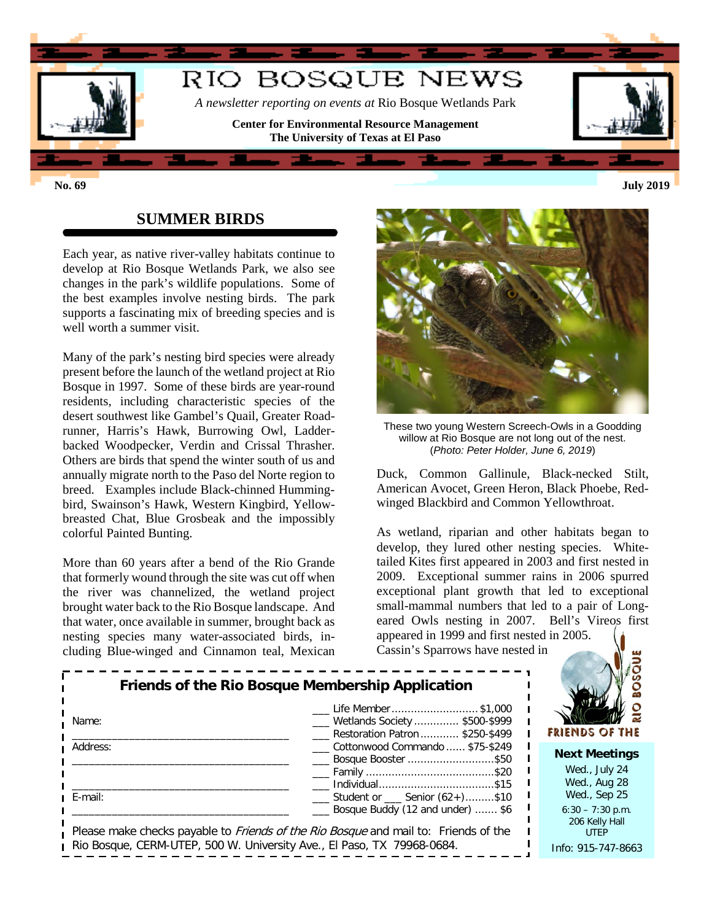

## **SUMMER BIRDS**

Each year, as native river-valley habitats continue to develop at Rio Bosque Wetlands Park, we also see changes in the park's wildlife populations. Some of the best examples involve nesting birds. The park supports a fascinating mix of breeding species and is well worth a summer visit.

Many of the park's nesting bird species were already present before the launch of the wetland project at Rio Bosque in 1997. Some of these birds are year-round residents, including characteristic species of the desert southwest like Gambel's Quail, Greater Roadrunner, Harris's Hawk, Burrowing Owl, Ladderbacked Woodpecker, Verdin and Crissal Thrasher. Others are birds that spend the winter south of us and annually migrate north to the Paso del Norte region to breed. Examples include Black-chinned Hummingbird, Swainson's Hawk, Western Kingbird, Yellowbreasted Chat, Blue Grosbeak and the impossibly colorful Painted Bunting.

More than 60 years after a bend of the Rio Grande that formerly wound through the site was cut off when the river was channelized, the wetland project brought water back to the Rio Bosque landscape. And that water, once available in summer, brought back as nesting species many water-associated birds, including Blue-winged and Cinnamon teal, Mexican



These two young Western Screech-Owls in a Goodding willow at Rio Bosque are not long out of the nest. (*Photo: Peter Holder, June 6, 2019*)

Duck, Common Gallinule, Black-necked Stilt, American Avocet, Green Heron, Black Phoebe, Redwinged Blackbird and Common Yellowthroat.

As wetland, riparian and other habitats began to develop, they lured other nesting species. Whitetailed Kites first appeared in 2003 and first nested in 2009. Exceptional summer rains in 2006 spurred exceptional plant growth that led to exceptional small-mammal numbers that led to a pair of Longeared Owls nesting in 2007. Bell's Vireos first appeared in 1999 and first nested in 2005.

**RIO BOSQUE** 

Cassin's Sparrows have nested in

| Name:    | Life Member \$1,000<br><b>Wetlands Society  \$500-\$999</b><br>Restoration Patron  \$250-\$499                                                                       | FRIENDS OF THE                                        |  |  |
|----------|----------------------------------------------------------------------------------------------------------------------------------------------------------------------|-------------------------------------------------------|--|--|
| Address: | Cottonwood Commando  \$75-\$249<br>Bosque Booster \$50                                                                                                               | <b>Next Meetings</b><br>Wed., July 24<br>Wed., Aug 28 |  |  |
| E-mail:  | $\frac{1}{1}$ Student or $\frac{1}{1}$ Senior (62+)\$10<br>Bosque Buddy (12 and under)  \$6                                                                          | Wed., Sep 25<br>$6:30 - 7:30$ p.m.<br>206 Kelly Hall  |  |  |
|          | Please make checks payable to <i>Friends of the Rio Bosque</i> and mail to: Friends of the<br>Rio Bosque, CERM-UTEP, 500 W. University Ave., El Paso, TX 79968-0684. | <b>UTEP</b><br>Info: 915-747-8663                     |  |  |